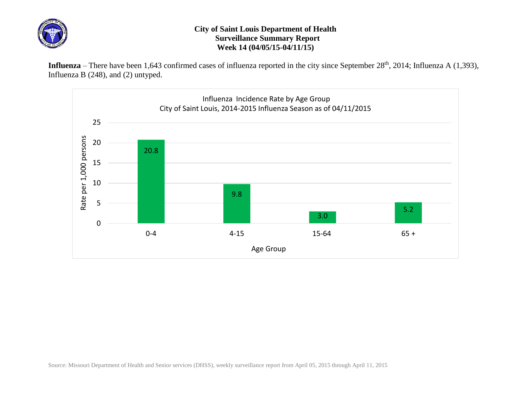

## **City of Saint Louis Department of Health Surveillance Summary Report Week 14 (04/05/15-04/11/15)**

Influenza – There have been 1,643 confirmed cases of influenza reported in the city since September 28<sup>th</sup>, 2014; Influenza A (1,393), Influenza B (248), and (2) untyped.